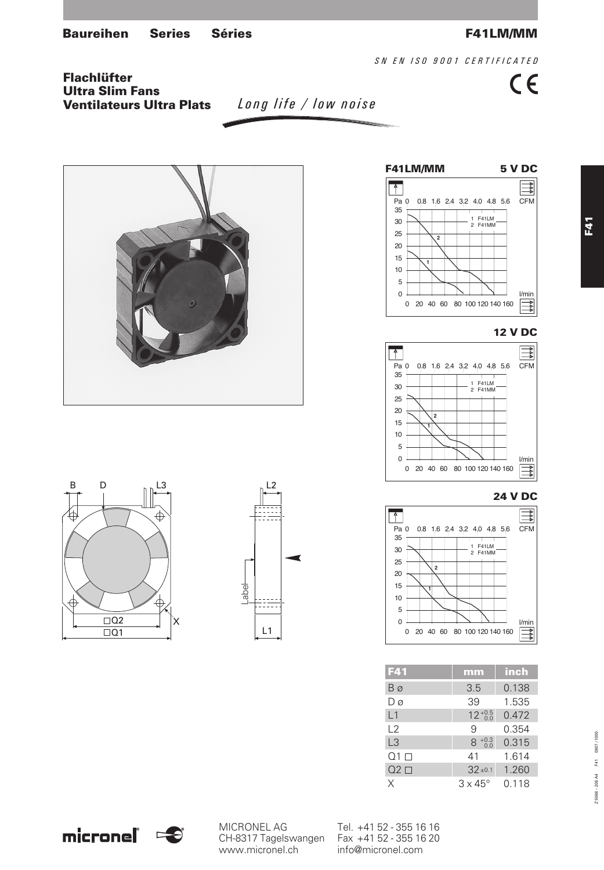*SN EN ISO 9001 CERTIFICATED*

 $C \in$ 

Flachlüfter Ultra Slim Fans Ventilateurs Ultra Plats

*Long life / low noise*













| F41               | mm                    | inch  |
|-------------------|-----------------------|-------|
| Βø                | 3.5                   | 0.138 |
| Dø                | 39                    | 1.535 |
| L1                | $12^{+0.5}_{-0.0}$    | 0.472 |
| $\sqrt{2}$        | 9                     | 0.354 |
| L <sub>3</sub>    | $^{+0.3}_{-0.0}$<br>8 | 0.315 |
| $\Omega$ 1 $\Box$ | 41                    | 1.614 |
| $Q2$ $\square$    | $32 \pm 0.1$          | 1.260 |
| Χ                 | $3 \times 45^{\circ}$ | 0.118 |



CH-8317 Tagelswangen Fax +41 52 - 355 16 20 www.micronel.ch info@micronel.com

MICRONEL AG Tel. +41 52 - 355 16 16